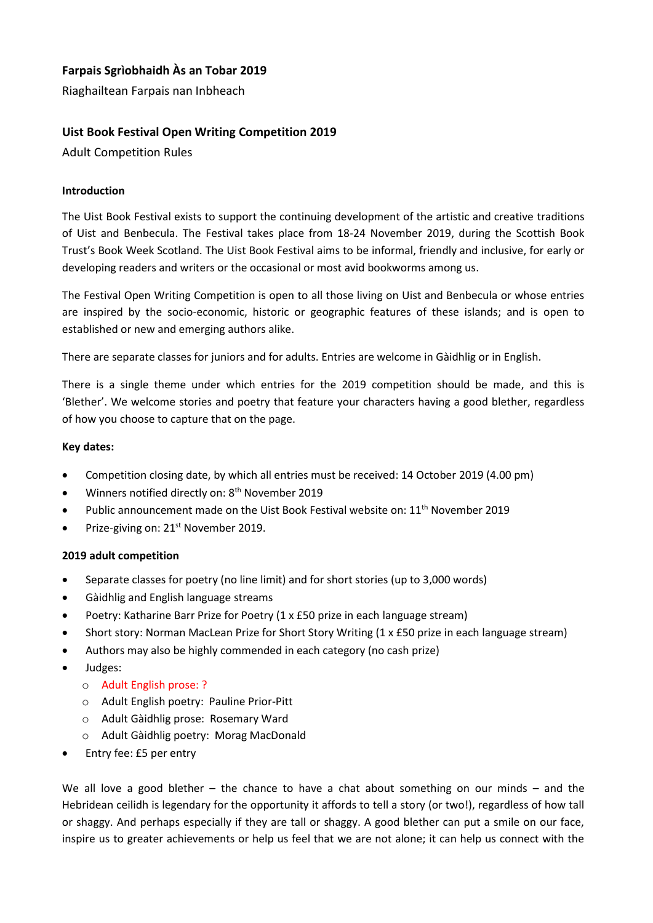# **Farpais Sgrìobhaidh Às an Tobar 2019**

Riaghailtean Farpais nan Inbheach

## **Uist Book Festival Open Writing Competition 2019**

Adult Competition Rules

## **Introduction**

The Uist Book Festival exists to support the continuing development of the artistic and creative traditions of Uist and Benbecula. The Festival takes place from 18-24 November 2019, during the Scottish Book Trust's Book Week Scotland. The Uist Book Festival aims to be informal, friendly and inclusive, for early or developing readers and writers or the occasional or most avid bookworms among us.

The Festival Open Writing Competition is open to all those living on Uist and Benbecula or whose entries are inspired by the socio-economic, historic or geographic features of these islands; and is open to established or new and emerging authors alike.

There are separate classes for juniors and for adults. Entries are welcome in Gàidhlig or in English.

There is a single theme under which entries for the 2019 competition should be made, and this is 'Blether'. We welcome stories and poetry that feature your characters having a good blether, regardless of how you choose to capture that on the page.

#### **Key dates:**

- Competition closing date, by which all entries must be received: 14 October 2019 (4.00 pm)
- Winners notified directly on: 8<sup>th</sup> November 2019
- Public announcement made on the Uist Book Festival website on: 11<sup>th</sup> November 2019
- Prize-giving on: 21<sup>st</sup> November 2019.

#### **2019 adult competition**

- Separate classes for poetry (no line limit) and for short stories (up to 3,000 words)
- Gàidhlig and English language streams
- Poetry: Katharine Barr Prize for Poetry (1 x £50 prize in each language stream)
- Short story: Norman MacLean Prize for Short Story Writing (1 x £50 prize in each language stream)
- Authors may also be highly commended in each category (no cash prize)
- Judges:
	- o Adult English prose: ?
	- o Adult English poetry: Pauline Prior-Pitt
	- o Adult Gàidhlig prose: Rosemary Ward
	- o Adult Gàidhlig poetry: Morag MacDonald
- Entry fee: £5 per entry

We all love a good blether – the chance to have a chat about something on our minds – and the Hebridean ceilidh is legendary for the opportunity it affords to tell a story (or two!), regardless of how tall or shaggy. And perhaps especially if they are tall or shaggy. A good blether can put a smile on our face, inspire us to greater achievements or help us feel that we are not alone; it can help us connect with the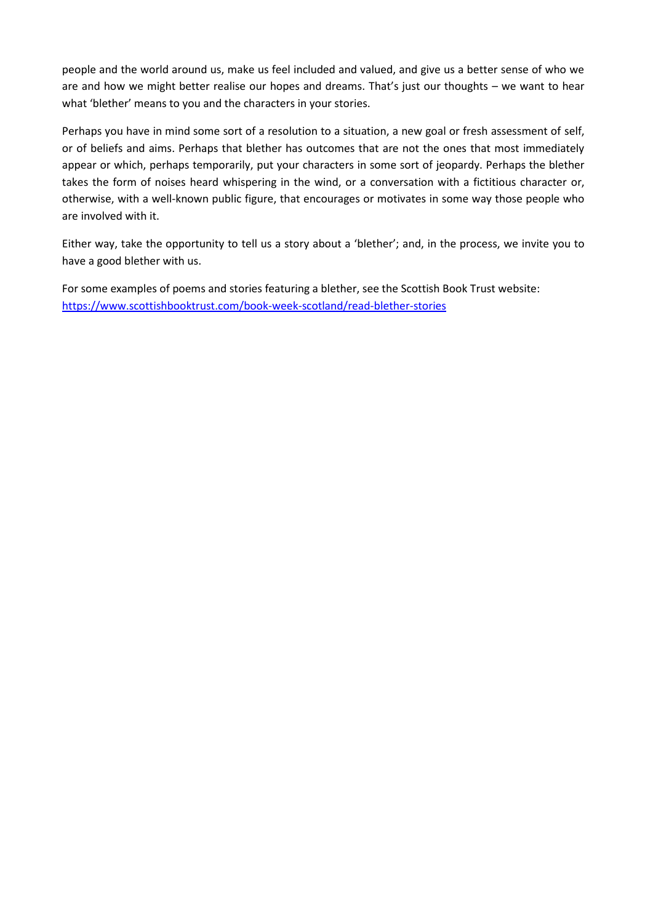people and the world around us, make us feel included and valued, and give us a better sense of who we are and how we might better realise our hopes and dreams. That's just our thoughts – we want to hear what 'blether' means to you and the characters in your stories.

Perhaps you have in mind some sort of a resolution to a situation, a new goal or fresh assessment of self, or of beliefs and aims. Perhaps that blether has outcomes that are not the ones that most immediately appear or which, perhaps temporarily, put your characters in some sort of jeopardy. Perhaps the blether takes the form of noises heard whispering in the wind, or a conversation with a fictitious character or, otherwise, with a well-known public figure, that encourages or motivates in some way those people who are involved with it.

Either way, take the opportunity to tell us a story about a 'blether'; and, in the process, we invite you to have a good blether with us.

For some examples of poems and stories featuring a blether, see the Scottish Book Trust website: <https://www.scottishbooktrust.com/book-week-scotland/read-blether-stories>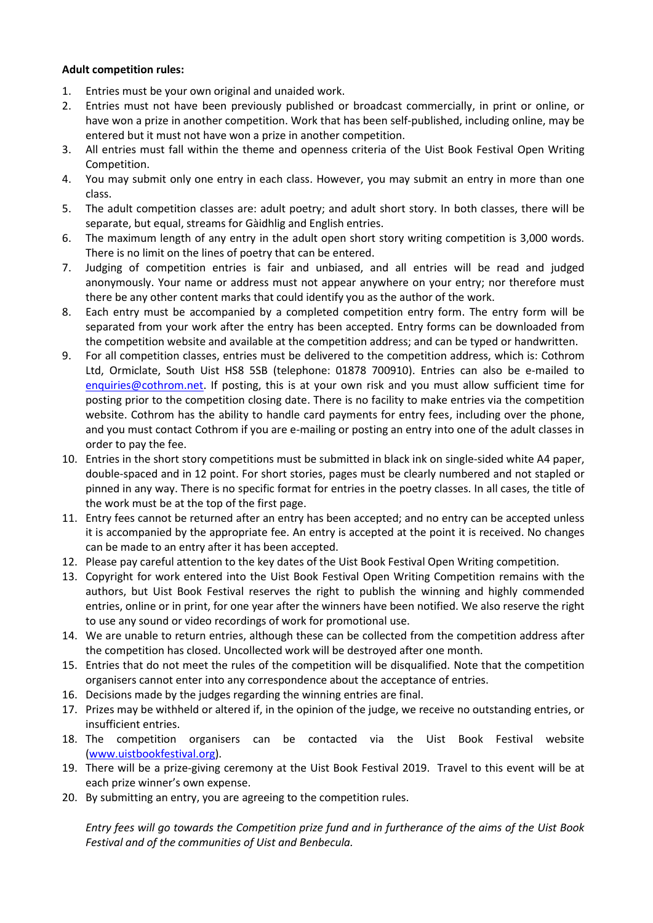## **Adult competition rules:**

- 1. Entries must be your own original and unaided work.
- 2. Entries must not have been previously published or broadcast commercially, in print or online, or have won a prize in another competition. Work that has been self-published, including online, may be entered but it must not have won a prize in another competition.
- 3. All entries must fall within the theme and openness criteria of the Uist Book Festival Open Writing Competition.
- 4. You may submit only one entry in each class. However, you may submit an entry in more than one class.
- 5. The adult competition classes are: adult poetry; and adult short story. In both classes, there will be separate, but equal, streams for Gàidhlig and English entries.
- 6. The maximum length of any entry in the adult open short story writing competition is 3,000 words. There is no limit on the lines of poetry that can be entered.
- 7. Judging of competition entries is fair and unbiased, and all entries will be read and judged anonymously. Your name or address must not appear anywhere on your entry; nor therefore must there be any other content marks that could identify you as the author of the work.
- 8. Each entry must be accompanied by a completed competition entry form. The entry form will be separated from your work after the entry has been accepted. Entry forms can be downloaded from the competition website and available at the competition address; and can be typed or handwritten.
- 9. For all competition classes, entries must be delivered to the competition address, which is: Cothrom Ltd, Ormiclate, South Uist HS8 5SB (telephone: 01878 700910). Entries can also be e-mailed to [enquiries@cothrom.net.](mailto:enquiries@cothrom.net) If posting, this is at your own risk and you must allow sufficient time for posting prior to the competition closing date. There is no facility to make entries via the competition website. Cothrom has the ability to handle card payments for entry fees, including over the phone, and you must contact Cothrom if you are e-mailing or posting an entry into one of the adult classes in order to pay the fee.
- 10. Entries in the short story competitions must be submitted in black ink on single-sided white A4 paper, double-spaced and in 12 point. For short stories, pages must be clearly numbered and not stapled or pinned in any way. There is no specific format for entries in the poetry classes. In all cases, the title of the work must be at the top of the first page.
- 11. Entry fees cannot be returned after an entry has been accepted; and no entry can be accepted unless it is accompanied by the appropriate fee. An entry is accepted at the point it is received. No changes can be made to an entry after it has been accepted.
- 12. Please pay careful attention to the key dates of the Uist Book Festival Open Writing competition.
- 13. Copyright for work entered into the Uist Book Festival Open Writing Competition remains with the authors, but Uist Book Festival reserves the right to publish the winning and highly commended entries, online or in print, for one year after the winners have been notified. We also reserve the right to use any sound or video recordings of work for promotional use.
- 14. We are unable to return entries, although these can be collected from the competition address after the competition has closed. Uncollected work will be destroyed after one month.
- 15. Entries that do not meet the rules of the competition will be disqualified. Note that the competition organisers cannot enter into any correspondence about the acceptance of entries.
- 16. Decisions made by the judges regarding the winning entries are final.
- 17. Prizes may be withheld or altered if, in the opinion of the judge, we receive no outstanding entries, or insufficient entries.
- 18. The competition organisers can be contacted via the Uist Book Festival website [\(www.uistbookfestival.org\)](http://www.uistbookfestival.org/).
- 19. There will be a prize-giving ceremony at the Uist Book Festival 2019. Travel to this event will be at each prize winner's own expense.
- 20. By submitting an entry, you are agreeing to the competition rules.

*Entry fees will go towards the Competition prize fund and in furtherance of the aims of the Uist Book Festival and of the communities of Uist and Benbecula.*